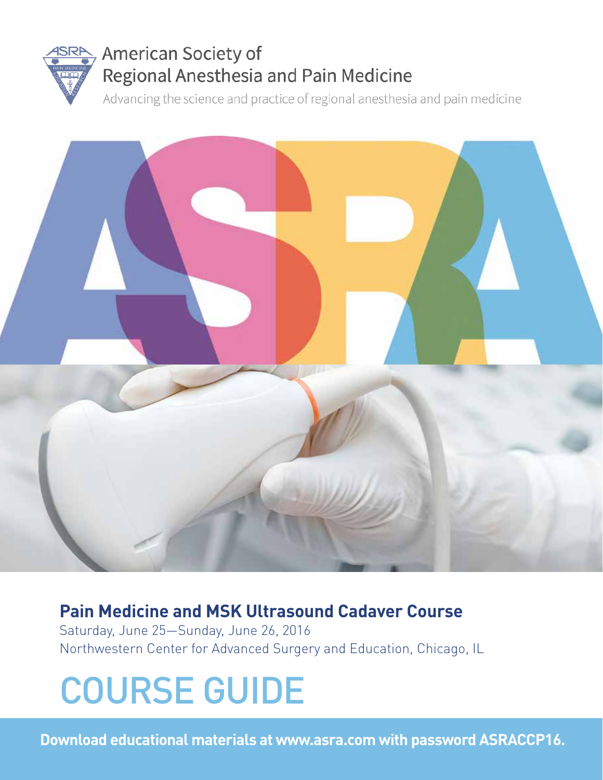

# American Society of Regional Anesthesia and Pain Medicine

Advancing the science and practice of regional anesthesia and pain medicine



# **Pain Medicine and MSK Ultrasound Cadaver Course**

Saturday, June 25—Sunday, June 26, 2016 Northwestern Center for Advanced Surgery and Education, Chicago, IL

# COURSE GUIDE

**Download educational materials at www.asra.com with password ASRACCP16.**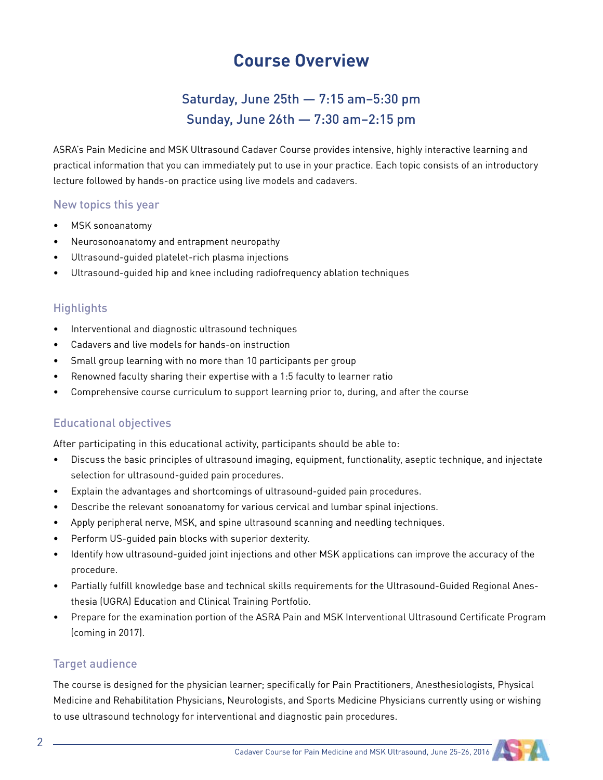## **Course Overview**

### Saturday, June 25th — 7:15 am–5:30 pm Sunday, June 26th — 7:30 am–2:15 pm

ASRA's Pain Medicine and MSK Ultrasound Cadaver Course provides intensive, highly interactive learning and practical information that you can immediately put to use in your practice. Each topic consists of an introductory lecture followed by hands-on practice using live models and cadavers.

#### New topics this year

- MSK sonoanatomy
- Neurosonoanatomy and entrapment neuropathy
- Ultrasound-quided platelet-rich plasma injections
- Ultrasound-guided hip and knee including radiofrequency ablation techniques

#### **Highlights**

- Interventional and diagnostic ultrasound techniques
- Cadavers and live models for hands-on instruction
- Small group learning with no more than 10 participants per group
- Renowned faculty sharing their expertise with a 1:5 faculty to learner ratio
- Comprehensive course curriculum to support learning prior to, during, and after the course

#### Educational objectives

After participating in this educational activity, participants should be able to:

- Discuss the basic principles of ultrasound imaging, equipment, functionality, aseptic technique, and injectate selection for ultrasound-guided pain procedures.
- Explain the advantages and shortcomings of ultrasound-guided pain procedures.
- Describe the relevant sonoanatomy for various cervical and lumbar spinal injections.
- Apply peripheral nerve, MSK, and spine ultrasound scanning and needling techniques.
- Perform US-guided pain blocks with superior dexterity.
- Identify how ultrasound-guided joint injections and other MSK applications can improve the accuracy of the procedure.
- Partially fulfill knowledge base and technical skills requirements for the Ultrasound-Guided Regional Anesthesia (UGRA) Education and Clinical Training Portfolio.
- Prepare for the examination portion of the ASRA Pain and MSK Interventional Ultrasound Certificate Program (coming in 2017).

#### Target audience

The course is designed for the physician learner; specifically for Pain Practitioners, Anesthesiologists, Physical Medicine and Rehabilitation Physicians, Neurologists, and Sports Medicine Physicians currently using or wishing to use ultrasound technology for interventional and diagnostic pain procedures.

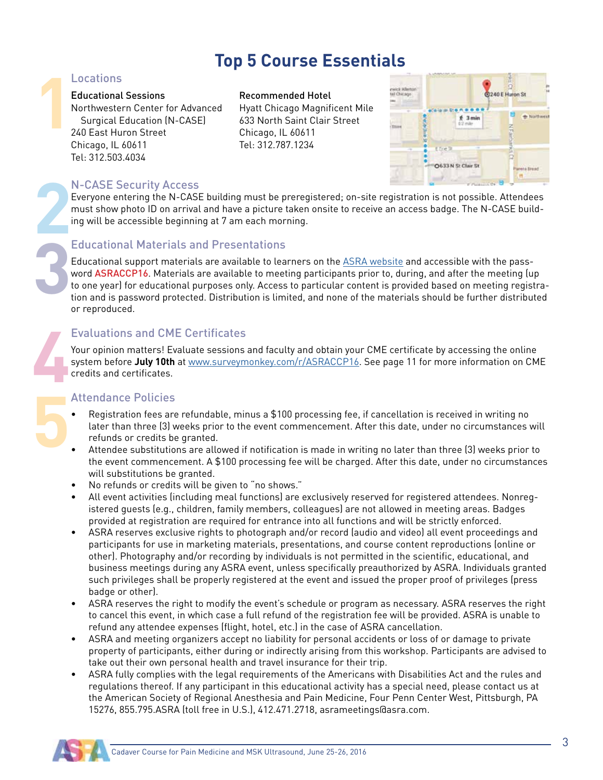## **Top 5 Course Essentials**

# **1** Locations

#### Educational Sessions **Recommended Hotel**

Northwestern Center for Advanced Hyatt Chicago Magnificent Mile Surgical Education (N-CASE) 633 North Saint Clair Street 240 East Huron Street Chicago, IL 60611 Chicago, IL 60611 Tel: 312.787.1234 Tel: 312.503.4034



# **2** N-CASE Security Access

Everyone entering the N-CASE building must be preregistered; on-site registration is not possible. Attendees must show photo ID on arrival and have a picture taken onsite to receive an access badge. The N-CASE building will be accessible beginning at 7 am each morning.

# **3** Educational Materials and Presentations

Educational support materials are available to learners on the ASRA website and accessible with the password ASRACCP16. Materials are available to meeting participants prior to, during, and after the meeting (up to one year) for educational purposes only. Access to particular content is provided based on meeting registration and is password protected. Distribution is limited, and none of the materials should be further distributed or reproduced.

# **4** Evaluations and CME Certificates

Your opinion matters! Evaluate sessions and faculty and obtain your CME certificate by accessing the online system before **July 10th** at www.surveymonkey.com/r/ASRACCP16. See page 11 for more information on CME credits and certificates.

# **5** Attendance Policies

- Registration fees are refundable, minus a \$100 processing fee, if cancellation is received in writing no later than three (3) weeks prior to the event commencement. After this date, under no circumstances will refunds or credits be granted.
- Attendee substitutions are allowed if notification is made in writing no later than three (3) weeks prior to the event commencement. A \$100 processing fee will be charged. After this date, under no circumstances will substitutions be granted.
- No refunds or credits will be given to "no shows."
- All event activities (including meal functions) are exclusively reserved for registered attendees. Nonregistered guests (e.g., children, family members, colleagues) are not allowed in meeting areas. Badges provided at registration are required for entrance into all functions and will be strictly enforced.
- ASRA reserves exclusive rights to photograph and/or record (audio and video) all event proceedings and participants for use in marketing materials, presentations, and course content reproductions (online or other). Photography and/or recording by individuals is not permitted in the scientific, educational, and business meetings during any ASRA event, unless specifically preauthorized by ASRA. Individuals granted such privileges shall be properly registered at the event and issued the proper proof of privileges (press badge or other).
- ASRA reserves the right to modify the event's schedule or program as necessary. ASRA reserves the right to cancel this event, in which case a full refund of the registration fee will be provided. ASRA is unable to refund any attendee expenses (flight, hotel, etc.) in the case of ASRA cancellation.
- ASRA and meeting organizers accept no liability for personal accidents or loss of or damage to private property of participants, either during or indirectly arising from this workshop. Participants are advised to take out their own personal health and travel insurance for their trip.
- ASRA fully complies with the legal requirements of the Americans with Disabilities Act and the rules and regulations thereof. If any participant in this educational activity has a special need, please contact us at the American Society of Regional Anesthesia and Pain Medicine, Four Penn Center West, Pittsburgh, PA 15276, 855.795.ASRA (toll free in U.S.), 412.471.2718, asrameetings@asra.com.



3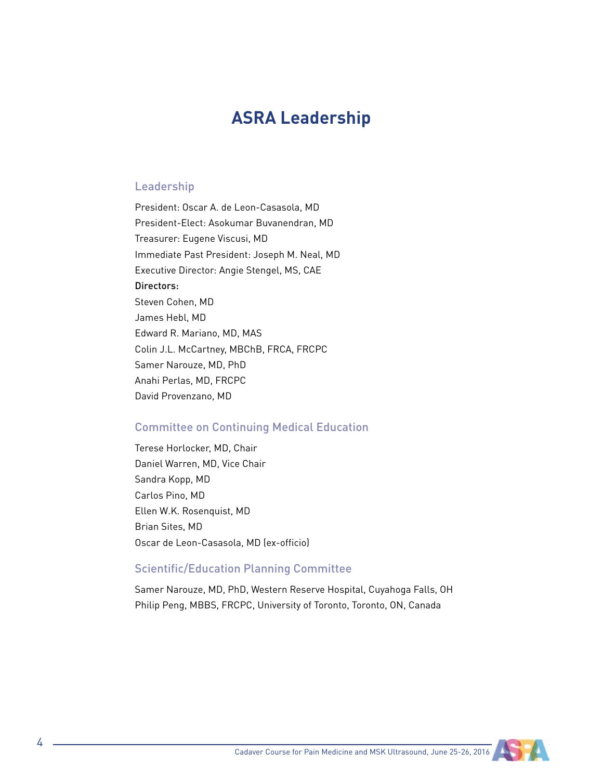## **ASRA Leadership**

#### Leadership

President: Oscar A. de Leon-Casasola, MD President-Elect: Asokumar Buvanendran, MD Treasurer: Eugene Viscusi, MD Immediate Past President: Joseph M. Neal, MD Executive Director: Angie Stengel, MS, CAE Directors: Steven Cohen, MD James Hebl, MD Edward R. Mariano, MD, MAS Colin J.L. McCartney, MBChB, FRCA, FRCPC Samer Narouze, MD, PhD Anahi Perlas, MD, FRCPC David Provenzano, MD

#### Committee on Continuing Medical Education

Terese Horlocker, MD, Chair Daniel Warren, MD, Vice Chair Sandra Kopp, MD Carlos Pino, MD Ellen W.K. Rosenquist, MD Brian Sites, MD Oscar de Leon-Casasola, MD (ex-officio)

#### Scientific/Education Planning Committee

Samer Narouze, MD, PhD, Western Reserve Hospital, Cuyahoga Falls, OH Philip Peng, MBBS, FRCPC, University of Toronto, Toronto, ON, Canada

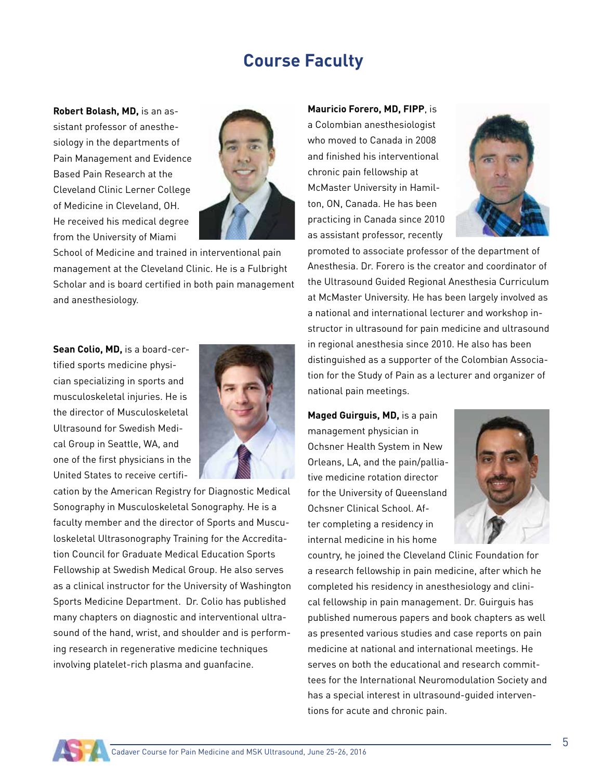## **Course Faculty**

**Robert Bolash, MD,** is an assistant professor of anesthesiology in the departments of Pain Management and Evidence Based Pain Research at the Cleveland Clinic Lerner College of Medicine in Cleveland, OH. He received his medical degree from the University of Miami



School of Medicine and trained in interventional pain management at the Cleveland Clinic. He is a Fulbright Scholar and is board certified in both pain management and anesthesiology.

**Sean Colio, MD,** is a board-certified sports medicine physician specializing in sports and musculoskeletal injuries. He is the director of Musculoskeletal Ultrasound for Swedish Medical Group in Seattle, WA, and one of the first physicians in the United States to receive certifi-



cation by the American Registry for Diagnostic Medical Sonography in Musculoskeletal Sonography. He is a faculty member and the director of Sports and Musculoskeletal Ultrasonography Training for the Accreditation Council for Graduate Medical Education Sports Fellowship at Swedish Medical Group. He also serves as a clinical instructor for the University of Washington Sports Medicine Department. Dr. Colio has published many chapters on diagnostic and interventional ultrasound of the hand, wrist, and shoulder and is performing research in regenerative medicine techniques involving platelet-rich plasma and guanfacine.

**Mauricio Forero, MD, FIPP**, is a Colombian anesthesiologist who moved to Canada in 2008 and finished his interventional chronic pain fellowship at McMaster University in Hamilton, ON, Canada. He has been practicing in Canada since 2010 as assistant professor, recently



promoted to associate professor of the department of Anesthesia. Dr. Forero is the creator and coordinator of the Ultrasound Guided Regional Anesthesia Curriculum at McMaster University. He has been largely involved as a national and international lecturer and workshop instructor in ultrasound for pain medicine and ultrasound in regional anesthesia since 2010. He also has been distinguished as a supporter of the Colombian Association for the Study of Pain as a lecturer and organizer of national pain meetings.

**Maged Guirguis, MD,** is a pain management physician in Ochsner Health System in New Orleans, LA, and the pain/palliative medicine rotation director for the University of Queensland Ochsner Clinical School. After completing a residency in internal medicine in his home



country, he joined the Cleveland Clinic Foundation for a research fellowship in pain medicine, after which he completed his residency in anesthesiology and clinical fellowship in pain management. Dr. Guirguis has published numerous papers and book chapters as well as presented various studies and case reports on pain medicine at national and international meetings. He serves on both the educational and research committees for the International Neuromodulation Society and has a special interest in ultrasound-guided interventions for acute and chronic pain.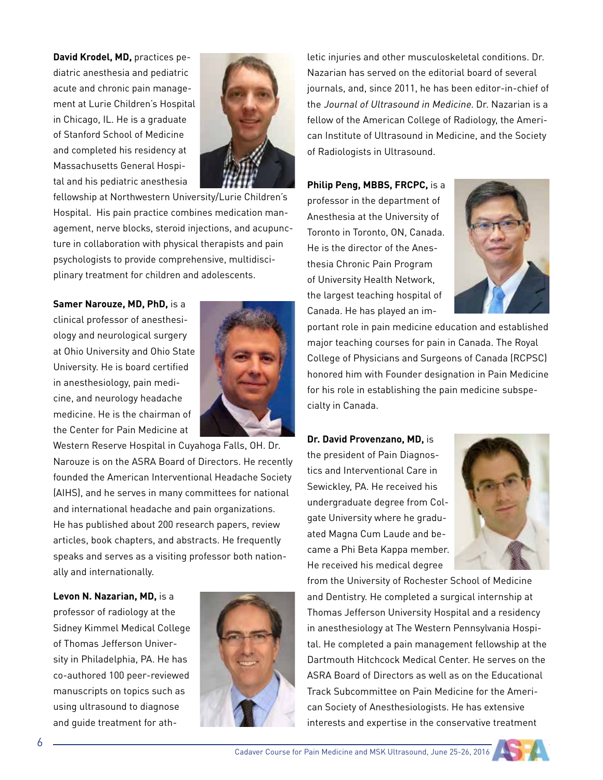**David Krodel, MD,** practices pediatric anesthesia and pediatric acute and chronic pain management at Lurie Children's Hospital in Chicago, IL. He is a graduate of Stanford School of Medicine and completed his residency at Massachusetts General Hospital and his pediatric anesthesia



fellowship at Northwestern University/Lurie Children's Hospital. His pain practice combines medication management, nerve blocks, steroid injections, and acupuncture in collaboration with physical therapists and pain psychologists to provide comprehensive, multidisciplinary treatment for children and adolescents.

**Samer Narouze, MD, PhD,** is a clinical professor of anesthesiology and neurological surgery at Ohio University and Ohio State University. He is board certified in anesthesiology, pain medicine, and neurology headache medicine. He is the chairman of the Center for Pain Medicine at



Western Reserve Hospital in Cuyahoga Falls, OH. Dr. Narouze is on the ASRA Board of Directors. He recently founded the American Interventional Headache Society (AIHS), and he serves in many committees for national and international headache and pain organizations. He has published about 200 research papers, review articles, book chapters, and abstracts. He frequently speaks and serves as a visiting professor both nationally and internationally.

**Levon N. Nazarian, MD,** is a

professor of radiology at the Sidney Kimmel Medical College of Thomas Jefferson University in Philadelphia, PA. He has co-authored 100 peer-reviewed manuscripts on topics such as using ultrasound to diagnose and guide treatment for ath-



letic injuries and other musculoskeletal conditions. Dr. Nazarian has served on the editorial board of several journals, and, since 2011, he has been editor-in-chief of the Journal of Ultrasound in Medicine. Dr. Nazarian is a fellow of the American College of Radiology, the American Institute of Ultrasound in Medicine, and the Society of Radiologists in Ultrasound.

**Philip Peng, MBBS, FRCPC,** is a professor in the department of Anesthesia at the University of Toronto in Toronto, ON, Canada. He is the director of the Anesthesia Chronic Pain Program of University Health Network, the largest teaching hospital of Canada. He has played an im-



portant role in pain medicine education and established major teaching courses for pain in Canada. The Royal College of Physicians and Surgeons of Canada (RCPSC) honored him with Founder designation in Pain Medicine for his role in establishing the pain medicine subspecialty in Canada.

**Dr. David Provenzano, MD,** is the president of Pain Diagnostics and Interventional Care in Sewickley, PA. He received his undergraduate degree from Colgate University where he graduated Magna Cum Laude and became a Phi Beta Kappa member. He received his medical degree



from the University of Rochester School of Medicine and Dentistry. He completed a surgical internship at Thomas Jefferson University Hospital and a residency in anesthesiology at The Western Pennsylvania Hospital. He completed a pain management fellowship at the Dartmouth Hitchcock Medical Center. He serves on the ASRA Board of Directors as well as on the Educational Track Subcommittee on Pain Medicine for the American Society of Anesthesiologists. He has extensive interests and expertise in the conservative treatment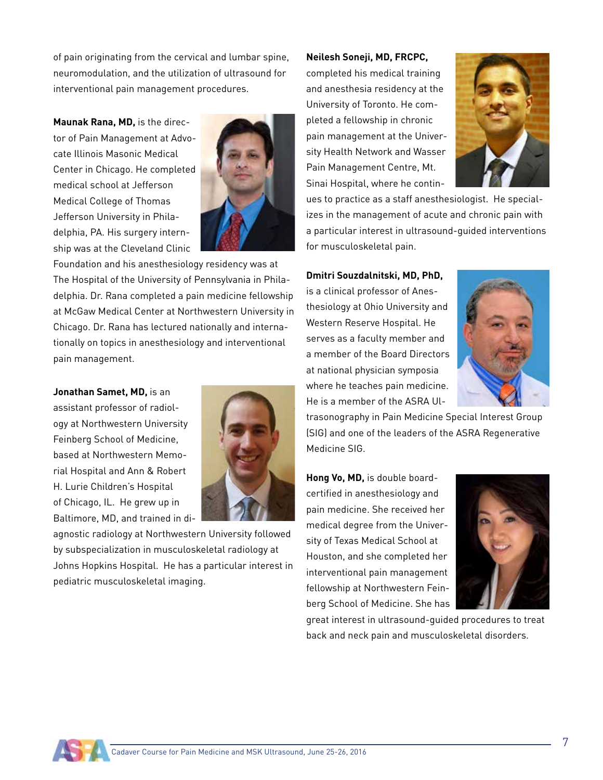of pain originating from the cervical and lumbar spine, neuromodulation, and the utilization of ultrasound for interventional pain management procedures.

**Maunak Rana, MD,** is the director of Pain Management at Advocate Illinois Masonic Medical Center in Chicago. He completed medical school at Jefferson Medical College of Thomas Jefferson University in Philadelphia, PA. His surgery internship was at the Cleveland Clinic



Foundation and his anesthesiology residency was at The Hospital of the University of Pennsylvania in Philadelphia. Dr. Rana completed a pain medicine fellowship at McGaw Medical Center at Northwestern University in Chicago. Dr. Rana has lectured nationally and internationally on topics in anesthesiology and interventional pain management.

**Jonathan Samet, MD,** is an assistant professor of radiology at Northwestern University Feinberg School of Medicine, based at Northwestern Memorial Hospital and Ann & Robert H. Lurie Children's Hospital of Chicago, IL. He grew up in Baltimore, MD, and trained in di-



agnostic radiology at Northwestern University followed by subspecialization in musculoskeletal radiology at Johns Hopkins Hospital. He has a particular interest in pediatric musculoskeletal imaging.

#### **Neilesh Soneji, MD, FRCPC,**

completed his medical training and anesthesia residency at the University of Toronto. He completed a fellowship in chronic pain management at the University Health Network and Wasser Pain Management Centre, Mt. Sinai Hospital, where he contin-



ues to practice as a staff anesthesiologist. He specializes in the management of acute and chronic pain with a particular interest in ultrasound-guided interventions for musculoskeletal pain.

**Dmitri Souzdalnitski, MD, PhD,** 

is a clinical professor of Anesthesiology at Ohio University and Western Reserve Hospital. He serves as a faculty member and a member of the Board Directors at national physician symposia where he teaches pain medicine. He is a member of the ASRA Ul-



trasonography in Pain Medicine Special Interest Group (SIG) and one of the leaders of the ASRA Regenerative Medicine SIG.

**Hong Vo, MD,** is double boardcertified in anesthesiology and pain medicine. She received her medical degree from the University of Texas Medical School at Houston, and she completed her interventional pain management fellowship at Northwestern Feinberg School of Medicine. She has



great interest in ultrasound-guided procedures to treat back and neck pain and musculoskeletal disorders.

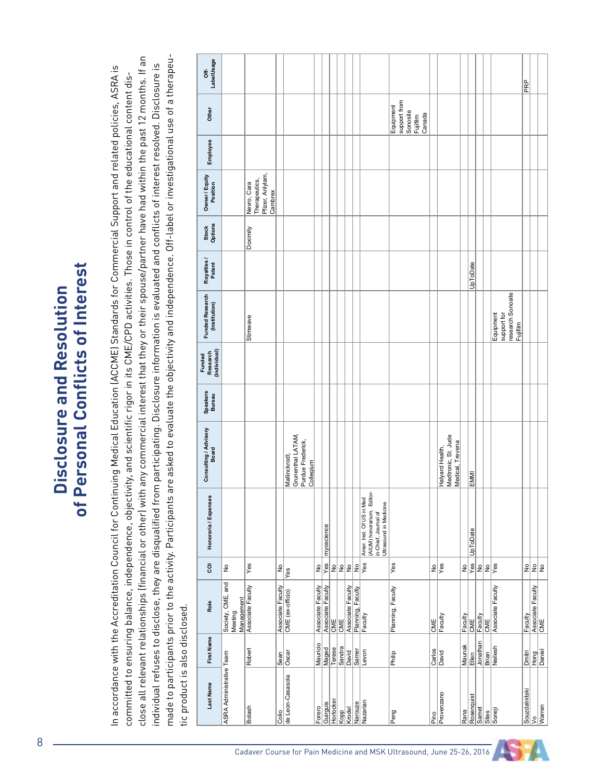# of Personal Conflicts of Interest **of Personal Conflicts of Interest Disclosure and Resolution**  Disclosure and Resolution

made to participants prior to the activity. Participants are asked to evaluate the objectivity and independence. Off-label or investigational use of a therapeuclose all relevant relationships (financial or other) with any commercial interest that they or their spouse/partner have had within the past 12 months. If an close all relevant relationships (financial or other) with any commercial interest that they or their spouse/partner have had within the past 12 months. If an made to participants prior to the activity. Participants are asked to evaluate the objectivity and independence. Off-label or investigational use of a therapeundividual refuses to disclose, they are disqualified from participating. Disclosure information is evaluated and conflicts of interest resolved. Disclosure is 是一个人的人,我们就是一个人的人,我们就是一个人的人,我们就是一个人的人,我们就是一个人的人,我们就是一个人的人,我们就是一个人的人,我们就是一个人的人,我们就是 individual refuses to disclose, they are disqualified from participating. Disclosure information is evaluated and conflicts of interest resolved. Disclosure is In accordance with the Accreditation Council for Continuing Medical Education (ACCME) Standards for Commercial Support and related policies, ASRA is In accordance with the Accreditation Council for Continuing Medical Education (ACCME) Standards for Commercial Support and related policies, ASRA is nade to participants prior to the activity. Participants are asked to evaluate the objectivity and independence. Off-label or investigational use of a therapo committed to ensuring balance, independence, objectivity, and scientific rigor in its CME/CPD activities. Those in control of the educational content discommitted to ensuring balance, independence, objectivity, and scientific rigor in its CME/CPD activities. Those in control of the educational content dis-IC PODDODICL IS ALSO QISCLOSED.<br>IC **Disclosure and Resolution of Personal Conflicts of Interesting Conflicts of Interesting of Interest of Interest** tic product is also disclosed. tic product is also disclosed.

| <b>Last Name</b>         | First Name      | Role                                       | ē              | Honoraria / Expenses                                                                                     | Consulting / Advisory                   | Speakers<br>Bureau | (Individual)<br>Research<br>Funded | Funded Research<br>(Institution) | Royalties /<br>Patent | Stock<br>Options | Owner / Equity<br>Position                                  | Employee | Other              | LabelUsage<br>\$ |
|--------------------------|-----------------|--------------------------------------------|----------------|----------------------------------------------------------------------------------------------------------|-----------------------------------------|--------------------|------------------------------------|----------------------------------|-----------------------|------------------|-------------------------------------------------------------|----------|--------------------|------------------|
| ASRA Administrative Team |                 | Society, CME, and<br>Management<br>Meeting | ş              |                                                                                                          |                                         |                    |                                    |                                  |                       |                  |                                                             |          |                    |                  |
| Bolash                   | Robert          | Associate Faculty                          | Yes            |                                                                                                          |                                         |                    |                                    | Stimwave                         |                       | Doximity         | Pfizer, Anlylam,<br>Therapeutics,<br>Nevro, Cara<br>Cambrex |          |                    |                  |
| Colio                    | Sean            | Associate Faculty                          | $rac{1}{2}$    |                                                                                                          |                                         |                    |                                    |                                  |                       |                  |                                                             |          |                    |                  |
| de Leon-Casasola         | Oscar           | CME (ex-officio)                           | Yes            |                                                                                                          | Mallinckrodt,                           |                    |                                    |                                  |                       |                  |                                                             |          |                    |                  |
|                          |                 |                                            |                |                                                                                                          | Grunenthal LATAM,                       |                    |                                    |                                  |                       |                  |                                                             |          |                    |                  |
|                          |                 |                                            |                |                                                                                                          | Purdue Frederick,                       |                    |                                    |                                  |                       |                  |                                                             |          |                    |                  |
|                          |                 |                                            |                |                                                                                                          | Collegium                               |                    |                                    |                                  |                       |                  |                                                             |          |                    |                  |
| Forero                   | Mauricio        | Associate Faculty                          | $\frac{1}{2}$  |                                                                                                          |                                         |                    |                                    |                                  |                       |                  |                                                             |          |                    |                  |
| Guirguis                 | Maged           | Associate Faculty                          | Yes            | myoscience                                                                                               |                                         |                    |                                    |                                  |                       |                  |                                                             |          |                    |                  |
| Horlocker                | Terese          | $\frac{1}{2}$                              | L              |                                                                                                          |                                         |                    |                                    |                                  |                       |                  |                                                             |          |                    |                  |
| Kopp                     | Sandra          | <b>CME</b>                                 | ş              |                                                                                                          |                                         |                    |                                    |                                  |                       |                  |                                                             |          |                    |                  |
| Krodel                   | <b>David</b>    | Associate Faculty                          | å              |                                                                                                          |                                         |                    |                                    |                                  |                       |                  |                                                             |          |                    |                  |
| Narouze                  | Samer           | Planning, Faculty                          | L              |                                                                                                          |                                         |                    |                                    |                                  |                       |                  |                                                             |          |                    |                  |
| Nazarian                 | Levon           | Faculty                                    | $\sqrt{e}$ s   | (AIUM) honorarium, Editor-<br>in-Chief, Journal of<br>Amer. Inst. Of US in Med<br>Ultrasound in Medicine |                                         |                    |                                    |                                  |                       |                  |                                                             |          |                    |                  |
| Peng                     | Philip          | Planning, Faculty                          | Yes            |                                                                                                          |                                         |                    |                                    |                                  |                       |                  |                                                             |          | Equipment          |                  |
|                          |                 |                                            |                |                                                                                                          |                                         |                    |                                    |                                  |                       |                  |                                                             |          | support from       |                  |
|                          |                 |                                            |                |                                                                                                          |                                         |                    |                                    |                                  |                       |                  |                                                             |          | Sonosite           |                  |
|                          |                 |                                            |                |                                                                                                          |                                         |                    |                                    |                                  |                       |                  |                                                             |          | Fujifilm<br>Canada |                  |
| Pino                     |                 |                                            |                |                                                                                                          |                                         |                    |                                    |                                  |                       |                  |                                                             |          |                    |                  |
| Provenzano               | Carlos<br>David | CME<br>Faculty                             | $\frac{2}{5}$  |                                                                                                          | Halyard Health,                         |                    |                                    |                                  |                       |                  |                                                             |          |                    |                  |
|                          |                 |                                            |                |                                                                                                          | Medtronic, St. Jude<br>Medical, Trevena |                    |                                    |                                  |                       |                  |                                                             |          |                    |                  |
| Rana                     |                 |                                            |                |                                                                                                          |                                         |                    |                                    |                                  |                       |                  |                                                             |          |                    |                  |
| Rosenquist               | Maunak<br>Ellen | Faculty<br>CME                             | $\frac{10}{x}$ | UpToDate                                                                                                 | EMMI                                    |                    |                                    |                                  | UpToDate              |                  |                                                             |          |                    |                  |
| Samet                    | Jonathan        | Faculty                                    | $\frac{1}{2}$  |                                                                                                          |                                         |                    |                                    |                                  |                       |                  |                                                             |          |                    |                  |
| Sites                    | Brian           | CME                                        | å              |                                                                                                          |                                         |                    |                                    |                                  |                       |                  |                                                             |          |                    |                  |
| Soneji                   | Neilesh         | Associate Faculty                          | <b>Ves</b>     |                                                                                                          |                                         |                    |                                    | Equipment                        |                       |                  |                                                             |          |                    |                  |
|                          |                 |                                            |                |                                                                                                          |                                         |                    |                                    | support for                      |                       |                  |                                                             |          |                    |                  |
|                          |                 |                                            |                |                                                                                                          |                                         |                    |                                    | research Sonosite<br>Fujifilm    |                       |                  |                                                             |          |                    |                  |
| Souzdalnitski            | Dmitri          | Faculty                                    | $\frac{1}{2}$  |                                                                                                          |                                         |                    |                                    |                                  |                       |                  |                                                             |          |                    | PRP              |
| $ _$                     |                 |                                            |                |                                                                                                          |                                         |                    |                                    |                                  |                       |                  |                                                             |          |                    |                  |
| Warren                   | Hong<br>Daniel  | Associate Faculty<br>CME                   | $\frac{9}{2}$  |                                                                                                          |                                         |                    |                                    |                                  |                       |                  |                                                             |          |                    |                  |

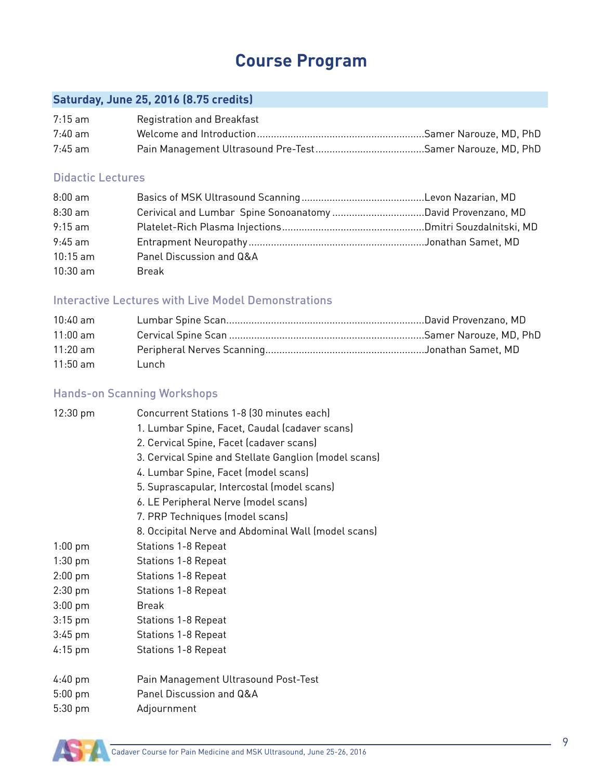# **Course Program**

#### **Saturday, June 25, 2016 (8.75 credits)**

| 7:15 am   | <b>Registration and Breakfast</b> |  |
|-----------|-----------------------------------|--|
| 7:40 am   |                                   |  |
| $7:45$ am |                                   |  |

#### Didactic Lectures

| $8:00$ am  |                          |  |
|------------|--------------------------|--|
| $8:30$ am  |                          |  |
| $9:15$ am  |                          |  |
| $9:45$ am  |                          |  |
| $10:15$ am | Panel Discussion and Q&A |  |
| $10:30$ am | Break                    |  |

#### Interactive Lectures with Live Model Demonstrations

| $10:40$ am |       |  |
|------------|-------|--|
| $11:00$ am |       |  |
| $11:20$ am |       |  |
| $11:50$ am | Lunch |  |

#### Hands-on Scanning Workshops

| $12:30 \text{ pm}$                        | Concurrent Stations 1-8 (30 minutes each)<br>1. Lumbar Spine, Facet, Caudal (cadaver scans)<br>2. Cervical Spine, Facet (cadaver scans)<br>3. Cervical Spine and Stellate Ganglion (model scans)<br>4. Lumbar Spine, Facet (model scans)<br>5. Suprascapular, Intercostal (model scans)<br>6. LE Peripheral Nerve (model scans)<br>7. PRP Techniques (model scans)<br>8. Occipital Nerve and Abdominal Wall (model scans) |
|-------------------------------------------|---------------------------------------------------------------------------------------------------------------------------------------------------------------------------------------------------------------------------------------------------------------------------------------------------------------------------------------------------------------------------------------------------------------------------|
| $1:00$ pm                                 | <b>Stations 1-8 Repeat</b>                                                                                                                                                                                                                                                                                                                                                                                                |
| $1:30$ pm                                 | <b>Stations 1-8 Repeat</b>                                                                                                                                                                                                                                                                                                                                                                                                |
| $2:00$ pm                                 | <b>Stations 1-8 Repeat</b>                                                                                                                                                                                                                                                                                                                                                                                                |
| $2:30$ pm                                 | <b>Stations 1-8 Repeat</b>                                                                                                                                                                                                                                                                                                                                                                                                |
| $3:00$ pm                                 | <b>Break</b>                                                                                                                                                                                                                                                                                                                                                                                                              |
| $3:15$ pm                                 | <b>Stations 1-8 Repeat</b>                                                                                                                                                                                                                                                                                                                                                                                                |
| $3:45$ pm                                 | <b>Stations 1-8 Repeat</b>                                                                                                                                                                                                                                                                                                                                                                                                |
| $4:15$ pm                                 | <b>Stations 1-8 Repeat</b>                                                                                                                                                                                                                                                                                                                                                                                                |
| $4:40 \text{ pm}$<br>$5:00$ pm<br>5:30 pm | Pain Management Ultrasound Post-Test<br>Panel Discussion and Q&A<br>Adjournment                                                                                                                                                                                                                                                                                                                                           |

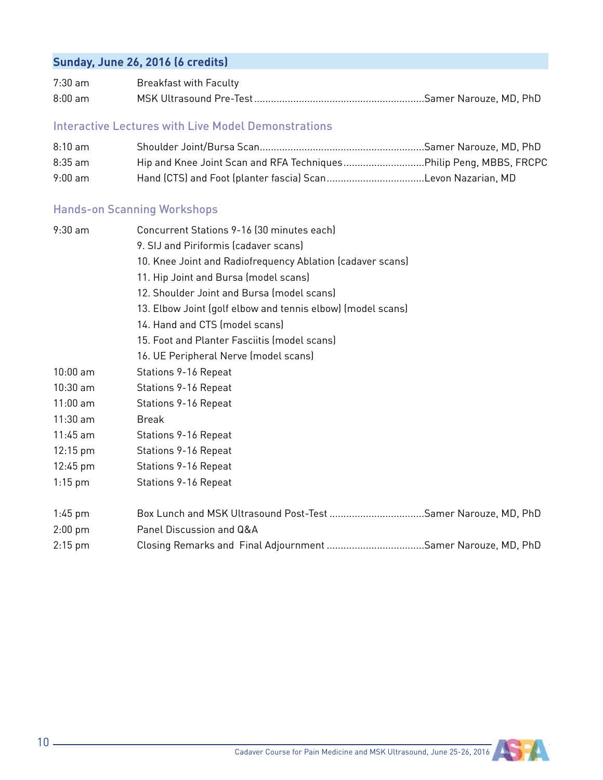#### **Sunday, June 26, 2016 (6 credits)**

| $7:30$ am | <b>Breakfast with Faculty</b> |  |
|-----------|-------------------------------|--|
| $8:00$ am | MSK Ultrasound Pre-Test.      |  |

#### Interactive Lectures with Live Model Demonstrations

| $8:10$ am |                                                                    |  |
|-----------|--------------------------------------------------------------------|--|
| $8:35$ am | Hip and Knee Joint Scan and RFA TechniquesPhilip Peng, MBBS, FRCPC |  |
| $9:00$ am | Hand (CTS) and Foot (planter fascia) ScanLevon Nazarian, MD        |  |

#### Hands-on Scanning Workshops

| $9:30$ am          | Concurrent Stations 9-16 (30 minutes each)                    |
|--------------------|---------------------------------------------------------------|
|                    | 9. SIJ and Piriformis (cadaver scans)                         |
|                    | 10. Knee Joint and Radiofrequency Ablation (cadaver scans)    |
|                    | 11. Hip Joint and Bursa (model scans)                         |
|                    | 12. Shoulder Joint and Bursa (model scans)                    |
|                    | 13. Elbow Joint (golf elbow and tennis elbow) (model scans)   |
|                    | 14. Hand and CTS (model scans)                                |
|                    | 15. Foot and Planter Fasciitis (model scans)                  |
|                    | 16. UE Peripheral Nerve (model scans)                         |
| $10:00$ am         | Stations 9-16 Repeat                                          |
| $10:30$ am         | Stations 9-16 Repeat                                          |
| $11:00$ am         | Stations 9-16 Repeat                                          |
| $11:30$ am         | <b>Break</b>                                                  |
| $11:45$ am         | Stations 9-16 Repeat                                          |
| $12:15 \text{ pm}$ | Stations 9-16 Repeat                                          |
| $12:45 \text{ pm}$ | Stations 9-16 Repeat                                          |
| $1:15$ pm          | Stations 9-16 Repeat                                          |
| $1:45 \text{ pm}$  | Box Lunch and MSK Ultrasound Post-Test Samer Narouze, MD, PhD |
| $2:00$ pm          | Panel Discussion and Q&A                                      |
| $2:15$ pm          | Closing Remarks and Final Adjournment Samer Narouze, MD, PhD  |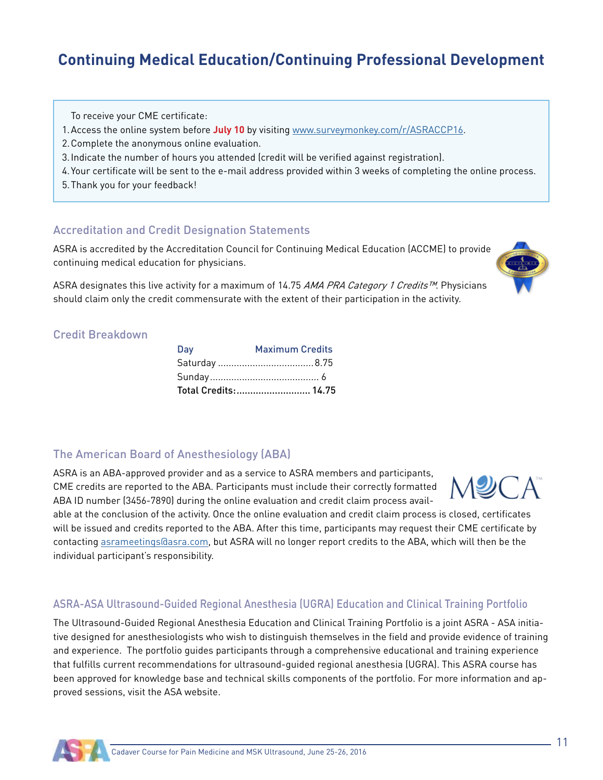## **Continuing Medical Education/Continuing Professional Development**

To receive your CME certificate:

- 1.Access the online system before **July 10** by visiting www.surveymonkey.com/r/ASRACCP16.
- 2.Complete the anonymous online evaluation.
- 3.Indicate the number of hours you attended (credit will be verified against registration).
- 4.Your certificate will be sent to the e-mail address provided within 3 weeks of completing the online process.
- 5.Thank you for your feedback!

#### Accreditation and Credit Designation Statements

ASRA is accredited by the Accreditation Council for Continuing Medical Education (ACCME) to provide continuing medical education for physicians.

ASRA designates this live activity for a maximum of 14.75 AMA PRA Category 1 Credits™. Physicians should claim only the credit commensurate with the extent of their participation in the activity.

#### Credit Breakdown

| Day | <b>Maximum Credits</b> |
|-----|------------------------|
|     |                        |
|     |                        |
|     | Total Credits: 14.75   |

#### The American Board of Anesthesiology (ABA)

ASRA is an ABA-approved provider and as a service to ASRA members and participants, CME credits are reported to the ABA. Participants must include their correctly formatted ABA ID number (3456-7890) during the online evaluation and credit claim process avail-



able at the conclusion of the activity. Once the online evaluation and credit claim process is closed, certificates will be issued and credits reported to the ABA. After this time, participants may request their CME certificate by contacting asrameetings@asra.com, but ASRA will no longer report credits to the ABA, which will then be the individual participant's responsibility.

#### ASRA-ASA Ultrasound-Guided Regional Anesthesia (UGRA) Education and Clinical Training Portfolio

The Ultrasound-Guided Regional Anesthesia Education and Clinical Training Portfolio is a joint ASRA - ASA initiative designed for anesthesiologists who wish to distinguish themselves in the field and provide evidence of training and experience. The portfolio guides participants through a comprehensive educational and training experience that fulfills current recommendations for ultrasound-guided regional anesthesia (UGRA). This ASRA course has been approved for knowledge base and technical skills components of the portfolio. For more information and approved sessions, visit the ASA website.

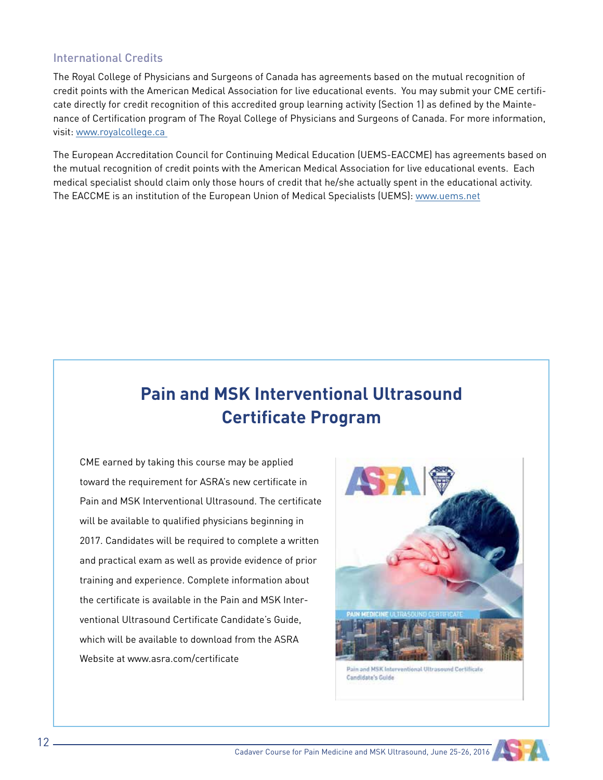#### International Credits

The Royal College of Physicians and Surgeons of Canada has agreements based on the mutual recognition of credit points with the American Medical Association for live educational events. You may submit your CME certificate directly for credit recognition of this accredited group learning activity (Section 1) as defined by the Maintenance of Certification program of The Royal College of Physicians and Surgeons of Canada. For more information, visit: www.royalcollege.ca

The European Accreditation Council for Continuing Medical Education (UEMS-EACCME) has agreements based on the mutual recognition of credit points with the American Medical Association for live educational events. Each medical specialist should claim only those hours of credit that he/she actually spent in the educational activity. The EACCME is an institution of the European Union of Medical Specialists (UEMS): www.uems.net

# **Pain and MSK Interventional Ultrasound Certificate Program**

CME earned by taking this course may be applied toward the requirement for ASRA's new certificate in Pain and MSK Interventional Ultrasound. The certificate will be available to qualified physicians beginning in 2017. Candidates will be required to complete a written and practical exam as well as provide evidence of prior training and experience. Complete information about the certificate is available in the Pain and MSK Interventional Ultrasound Certificate Candidate's Guide, which will be available to download from the ASRA Website at www.asra.com/certificate



Pain and MSK Interventional Ultrasound Certificate Candidate's Guide

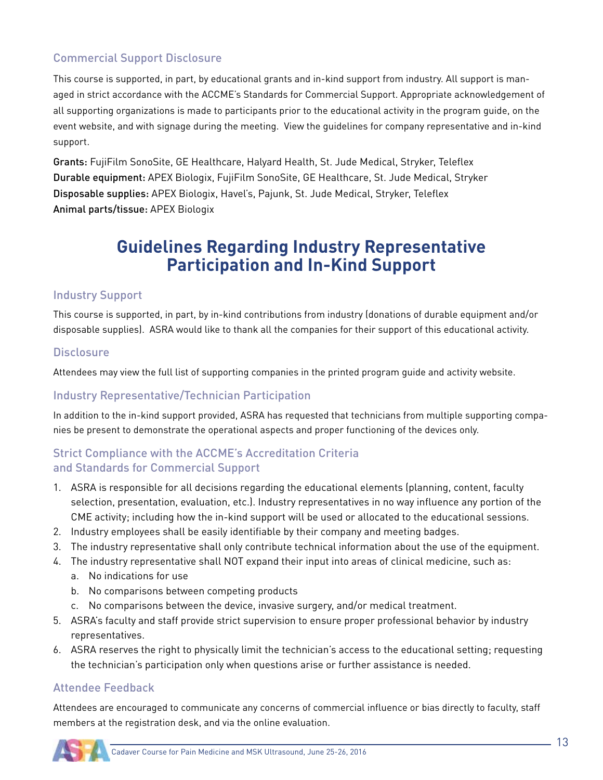#### Commercial Support Disclosure

This course is supported, in part, by educational grants and in-kind support from industry. All support is managed in strict accordance with the ACCME's Standards for Commercial Support. Appropriate acknowledgement of all supporting organizations is made to participants prior to the educational activity in the program guide, on the event website, and with signage during the meeting. View the guidelines for company representative and in-kind support.

Grants: FujiFilm SonoSite, GE Healthcare, Halyard Health, St. Jude Medical, Stryker, Teleflex Durable equipment: APEX Biologix, FujiFilm SonoSite, GE Healthcare, St. Jude Medical, Stryker Disposable supplies: APEX Biologix, Havel's, Pajunk, St. Jude Medical, Stryker, Teleflex Animal parts/tissue: APEX Biologix

## **Guidelines Regarding Industry Representative Participation and In-Kind Support**

#### Industry Support

This course is supported, in part, by in-kind contributions from industry (donations of durable equipment and/or disposable supplies). ASRA would like to thank all the companies for their support of this educational activity.

#### **Disclosure**

Attendees may view the full list of supporting companies in the printed program guide and activity website.

#### Industry Representative/Technician Participation

In addition to the in-kind support provided, ASRA has requested that technicians from multiple supporting companies be present to demonstrate the operational aspects and proper functioning of the devices only.

#### Strict Compliance with the ACCME's Accreditation Criteria and Standards for Commercial Support

- 1. ASRA is responsible for all decisions regarding the educational elements (planning, content, faculty selection, presentation, evaluation, etc.). Industry representatives in no way influence any portion of the CME activity; including how the in-kind support will be used or allocated to the educational sessions.
- 2. Industry employees shall be easily identifiable by their company and meeting badges.
- 3. The industry representative shall only contribute technical information about the use of the equipment.
- 4. The industry representative shall NOT expand their input into areas of clinical medicine, such as:
	- a. No indications for use
	- b. No comparisons between competing products
	- c. No comparisons between the device, invasive surgery, and/or medical treatment.
- 5. ASRA's faculty and staff provide strict supervision to ensure proper professional behavior by industry representatives.
- 6. ASRA reserves the right to physically limit the technician's access to the educational setting; requesting the technician's participation only when questions arise or further assistance is needed.

#### Attendee Feedback

Attendees are encouraged to communicate any concerns of commercial influence or bias directly to faculty, staff members at the registration desk, and via the online evaluation.